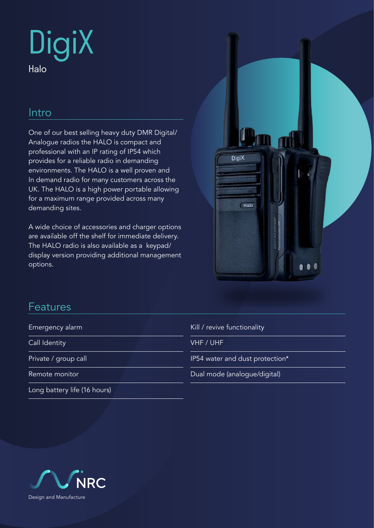# **DigiX** Halo

## Intro

One of our best selling heavy duty DMR Digital/ Analogue radios the HALO is compact and professional with an IP rating of IP54 which provides for a reliable radio in demanding environments. The HALO is a well proven and In demand radio for many customers across the UK. The HALO is a high power portable allowing for a maximum range provided across many demanding sites.

A wide choice of accessories and charger options are available off the shelf for immediate delivery. The HALO radio is also available as a keypad/ display version providing additional management options.



## Features

Emergency alarm

Call Identity

Private / group call

Remote monitor

Long battery life (16 hours)

|  |  | Kill / revive functionality |
|--|--|-----------------------------|
|--|--|-----------------------------|

VHF / UHF

IP54 water and dust protection\*

Dual mode (analogue/digital)